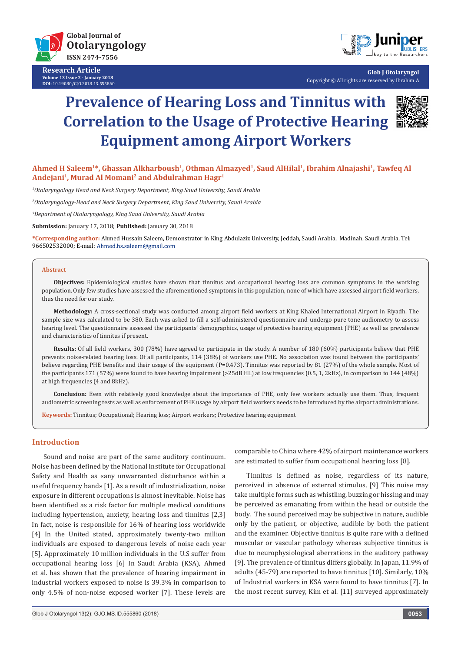

**Research Article Volume 13 Issue 2 - January 2018 DOI:** [10.19080/GJO.2018.13.555860](http://dx.doi.org/10.19080/GJO.2018.13.555860)



**Glob J Otolaryngol** Copyright © All rights are reserved by Ibrahim A

# **Prevalence of Hearing Loss and Tinnitus with Correlation to the Usage of Protective Hearing Equipment among Airport Workers**



Ahmed H Saleem<sup>1\*</sup>, Ghassan Alkharboush<sup>1</sup>, Othman Almazyed<sup>1</sup>, Saud AlHilal<sup>1</sup>, Ibrahim Alnajashi<sup>1</sup>, Tawfeq Al **Andejani1, Murad Al Momani2 and Abdulrahman Hagr1**

*1 Otolaryngology Head and Neck Surgery Department, King Saud University, Saudi Arabia*

*2 Otolaryngology‐Head and Neck Surgery Department, King Saud University, Saudi Arabia*

*3 Department of Otolaryngology, King Saud University, Saudi Arabia*

**Submission:** January 17, 2018; **Published:** January 30, 2018

**\*Corresponding author:** Ahmed Hussain Saleem, Demonstrator in King Abdulaziz University, Jeddah, Saudi Arabia, Madinah, Saudi Arabia, Tel: 966502532000; E-mail: Ahmed.hs.saleem@gmail.com

#### **Abstract**

**Objectives:** Epidemiological studies have shown that tinnitus and occupational hearing loss are common symptoms in the working population. Only few studies have assessed the aforementioned symptoms in this population, none of which have assessed airport field workers, thus the need for our study.

**Methodology:** A cross-sectional study was conducted among airport field workers at King Khaled International Airport in Riyadh. The sample size was calculated to be 380. Each was asked to fill a self-administered questionnaire and undergo pure tone audiometry to assess hearing level. The questionnaire assessed the participants' demographics, usage of protective hearing equipment (PHE) as well as prevalence and characteristics of tinnitus if present.

**Results:** Of all field workers, 300 (78%) have agreed to participate in the study. A number of 180 (60%) participants believe that PHE prevents noise-related hearing loss. Of all participants, 114 (38%) of workers use PHE. No association was found between the participants' believe regarding PHE benefits and their usage of the equipment (P=0.473). Tinnitus was reported by 81 (27%) of the whole sample. Most of the participants 171 (57%) were found to have hearing impairment (>25dB HL) at low frequencies (0.5, 1, 2kHz), in comparison to 144 (48%) at high frequencies (4 and 8kHz).

**Conclusion:** Even with relatively good knowledge about the importance of PHE, only few workers actually use them. Thus, frequent audiometric screening tests as well as enforcement of PHE usage by airport field workers needs to be introduced by the airport administrations.

**Keywords:** Tinnitus; Occupational; Hearing loss; Airport workers; Protective hearing equipment

# **Introduction**

Sound and noise are part of the same auditory continuum. Noise has been defined by the National Institute for Occupational Safety and Health as «any unwarranted disturbance within a useful frequency band» [1]. As a result of industrialization, noise exposure in different occupations is almost inevitable. Noise has been identified as a risk factor for multiple medical conditions including hypertension, anxiety, hearing loss and tinnitus [2,3] In fact, noise is responsible for 16% of hearing loss worldwide [4] In the United stated, approximately twenty-two million individuals are exposed to dangerous levels of noise each year [5]. Approximately 10 million individuals in the U.S suffer from occupational hearing loss [6] In Saudi Arabia (KSA), Ahmed et al. has shown that the prevalence of hearing impairment in industrial workers exposed to noise is 39.3% in comparison to only 4.5% of non-noise exposed worker [7]. These levels are

comparable to China where 42% of airport maintenance workers are estimated to suffer from occupational hearing loss [8].

Tinnitus is defined as noise, regardless of its nature, perceived in absence of external stimulus, [9] This noise may take multiple forms such as whistling, buzzing or hissing and may be perceived as emanating from within the head or outside the body. The sound perceived may be subjective in nature, audible only by the patient, or objective, audible by both the patient and the examiner. Objective tinnitus is quite rare with a defined muscular or vascular pathology whereas subjective tinnitus is due to neurophysiological aberrations in the auditory pathway [9]. The prevalence of tinnitus differs globally. In Japan, 11.9% of adults (45-79) are reported to have tinnitus [10]. Similarly, 10% of Industrial workers in KSA were found to have tinnitus [7]. In the most recent survey, Kim et al. [11] surveyed approximately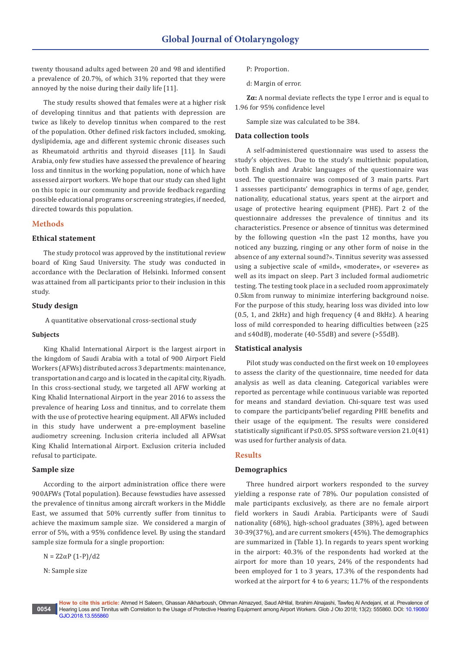twenty thousand adults aged between 20 and 98 and identified a prevalence of 20.7%, of which 31% reported that they were annoyed by the noise during their daily life [11].

The study results showed that females were at a higher risk of developing tinnitus and that patients with depression are twice as likely to develop tinnitus when compared to the rest of the population. Other defined risk factors included, smoking, dyslipidemia, age and different systemic chronic diseases such as Rheumatoid arthritis and thyroid diseases [11]. In Saudi Arabia, only few studies have assessed the prevalence of hearing loss and tinnitus in the working population, none of which have assessed airport workers. We hope that our study can shed light on this topic in our community and provide feedback regarding possible educational programs or screening strategies, if needed, directed towards this population.

# **Methods**

#### **Ethical statement**

The study protocol was approved by the institutional review board of King Saud University. The study was conducted in accordance with the Declaration of Helsinki. Informed consent was attained from all participants prior to their inclusion in this study.

# **Study design**

A quantitative observational cross-sectional study

#### **Subjects**

King Khalid International Airport is the largest airport in the kingdom of Saudi Arabia with a total of 900 Airport Field Workers (AFWs) distributed across 3 departments: maintenance, transportation and cargo and is located in the capital city, Riyadh. In this cross-sectional study, we targeted all AFW working at King Khalid International Airport in the year 2016 to assess the prevalence of hearing Loss and tinnitus, and to correlate them with the use of protective hearing equipment. All AFWs included in this study have underwent a pre-employment baseline audiometry screening. Inclusion criteria included all AFWsat King Khalid International Airport. Exclusion criteria included refusal to participate.

### **Sample size**

According to the airport administration office there were 900AFWs (Total population). Because fewstudies have assessed the prevalence of tinnitus among aircraft workers in the Middle East, we assumed that 50% currently suffer from tinnitus to achieve the maximum sample size. We considered a margin of error of 5%, with a 95% confidence level. By using the standard sample size formula for a single proportion:

N = Z2αP (1-P)/d2

N: Sample size

d: Margin of error.

**Zα:** A normal deviate reflects the type I error and is equal to 1.96 for 95% confidence level

Sample size was calculated to be 384.

#### **Data collection tools**

A self-administered questionnaire was used to assess the study's objectives. Due to the study's multiethnic population, both English and Arabic languages of the questionnaire was used. The questionnaire was composed of 3 main parts. Part 1 assesses participants' demographics in terms of age, gender, nationality, educational status, years spent at the airport and usage of protective hearing equipment (PHE). Part 2 of the questionnaire addresses the prevalence of tinnitus and its characteristics. Presence or absence of tinnitus was determined by the following question «In the past 12 months, have you noticed any buzzing, ringing or any other form of noise in the absence of any external sound?». Tinnitus severity was assessed using a subjective scale of «mild», «moderate», or «severe» as well as its impact on sleep. Part 3 included formal audiometric testing. The testing took place in a secluded room approximately 0.5km from runway to minimize interfering background noise. For the purpose of this study, hearing loss was divided into low (0.5, 1, and 2kHz) and high frequency (4 and 8kHz). A hearing loss of mild corresponded to hearing difficulties between (≥25 and ≤40dB), moderate (40-55dB) and severe (>55dB).

#### **Statistical analysis**

Pilot study was conducted on the first week on 10 employees to assess the clarity of the questionnaire, time needed for data analysis as well as data cleaning. Categorical variables were reported as percentage while continuous variable was reported for means and standard deviation. Chi-square test was used to compare the participants'belief regarding PHE benefits and their usage of the equipment. The results were considered statistically significant if P≤0.05. SPSS software version 21.0(41) was used for further analysis of data.

#### **Results**

### **Demographics**

Three hundred airport workers responded to the survey yielding a response rate of 78%. Our population consisted of male participants exclusively, as there are no female airport field workers in Saudi Arabia. Participants were of Saudi nationality (68%), high-school graduates (38%), aged between 30-39(37%), and are current smokers (45%). The demographics are summarized in (Table 1). In regards to years spent working in the airport: 40.3% of the respondents had worked at the airport for more than 10 years, 24% of the respondents had been employed for 1 to 3 years, 17.3% of the respondents had worked at the airport for 4 to 6 years; 11.7% of the respondents

P: Proportion.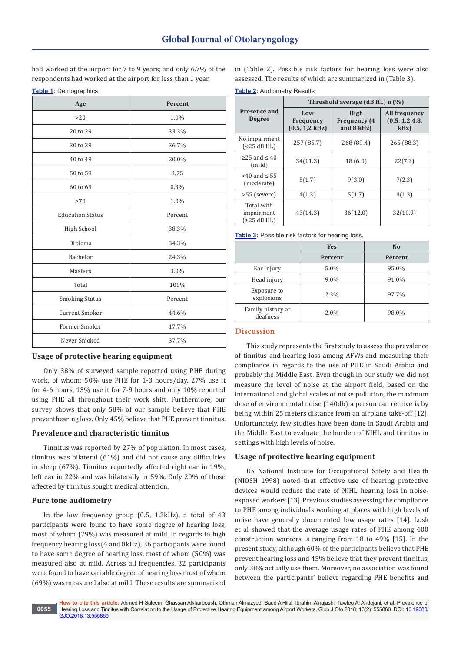had worked at the airport for 7 to 9 years; and only 6.7% of the respondents had worked at the airport for less than 1 year.

**Table 1:** Demographics.

| Age                     | Percent |  |
|-------------------------|---------|--|
| >20                     | 1.0%    |  |
| 20 to 29                | 33.3%   |  |
| 30 to 39                | 36.7%   |  |
| 40 to 49                | 20.0%   |  |
| 50 to 59                | 8.75    |  |
| 60 to 69                | 0.3%    |  |
| >70                     | 1.0%    |  |
| <b>Education Status</b> | Percent |  |
| High School             | 38.3%   |  |
| Diploma                 | 34.3%   |  |
| Bachelor                | 24.3%   |  |
| Masters                 | 3.0%    |  |
| Total                   | 100%    |  |
| <b>Smoking Status</b>   | Percent |  |
| <b>Current Smoker</b>   | 44.6%   |  |
| Former Smoker           | 17.7%   |  |
| Never Smoked            | 37.7%   |  |

# **Usage of protective hearing equipment**

Only 38% of surveyed sample reported using PHE during work, of whom: 50% use PHE for 1-3 hours/day, 27% use it for 4-6 hours, 13% use it for 7-9 hours and only 10% reported using PHE all throughout their work shift. Furthermore, our survey shows that only 58% of our sample believe that PHE preventhearing loss. Only 45% believe that PHE prevent tinnitus.

# **Prevalence and characteristic tinnitus**

Tinnitus was reported by 27% of population. In most cases, tinnitus was bilateral (61%) and did not cause any difficulties in sleep (67%). Tinnitus reportedly affected right ear in 19%, left ear in 22% and was bilaterally in 59%. Only 20% of those affected by tinnitus sought medical attention.

# **Pure tone audiometry**

In the low frequency group (0.5, 1.2kHz), a total of 43 participants were found to have some degree of hearing loss, most of whom (79%) was measured at mild. In regards to high frequency hearing loss(4 and 8kHz), 36 participants were found to have some degree of hearing loss, most of whom (50%) was measured also at mild. Across all frequencies, 32 participants were found to have variable degree of hearing loss most of whom (69%) was measured also at mild. These results are summarized

in (Table 2). Possible risk factors for hearing loss were also assessed. The results of which are summarized in (Table 3).

**Table 2:** Audiometry Results

|                                         | Threshold average (dB HL) n (%)             |                                           |                                            |  |
|-----------------------------------------|---------------------------------------------|-------------------------------------------|--------------------------------------------|--|
| Presence and<br><b>Degree</b>           | Low<br><b>Frequency</b><br>$(0.5, 1.2$ kHz) | High<br><b>Frequency</b> (4<br>and 8 kHz) | All frequency<br>(0.5, 1.2.4.8,<br>$kHz$ ) |  |
| No impairment<br>(<25 dB HL)            | 257 (85.7)                                  | 268 (89.4)                                | 265 (88.3)                                 |  |
| $\geq$ 25 and $\leq$ 40<br>(mild)       | 34(11.3)                                    | 18(6.0)                                   | 22(7.3)                                    |  |
| $<$ 40 and $\leq$ 55<br>(moderate)      | 5(1.7)                                      | 9(3.0)                                    | 7(2.3)                                     |  |
| >55 (severe)                            | 4(1.3)                                      | 5(1.7)                                    | 4(1.3)                                     |  |
| Total with<br>impairment<br>(≥25 dB HL) | 43(14.3)                                    | 36(12.0)                                  | 32(10.9)                                   |  |

**Table 3:** Possible risk factors for hearing loss.

|                               | <b>Yes</b> | N <sub>o</sub> |
|-------------------------------|------------|----------------|
|                               | Percent    | <b>Percent</b> |
| Ear Injury                    | 5.0%       | 95.0%          |
| Head injury                   | 9.0%       | 91.0%          |
| Exposure to<br>explosions     | 2.3%       | 97.7%          |
| Family history of<br>deafness | 2.0%       | 98.0%          |

# **Discussion**

This study represents the first study to assess the prevalence of tinnitus and hearing loss among AFWs and measuring their compliance in regards to the use of PHE in Saudi Arabia and probably the Middle East. Even though in our study we did not measure the level of noise at the airport field, based on the international and global scales of noise pollution, the maximum dose of environmental noise (140db) a person can receive is by being within 25 meters distance from an airplane take-off [12]. Unfortunately, few studies have been done in Saudi Arabia and the Middle East to evaluate the burden of NIHL and tinnitus in settings with high levels of noise.

# **Usage of protective hearing equipment**

US National Institute for Occupational Safety and Health (NIOSH 1998) noted that effective use of hearing protective devices would reduce the rate of NIHL hearing loss in noiseexposed workers [13]. Previous studies assessing the compliance to PHE among individuals working at places with high levels of noise have generally documented low usage rates [14]. Lusk et al showed that the average usage rates of PHE among 400 construction workers is ranging from 18 to 49% [15]. In the present study, although 60% of the participants believe that PHE prevent hearing loss and 45% believe that they prevent tinnitus, only 38% actually use them. Moreover, no association was found between the participants' believe regarding PHE benefits and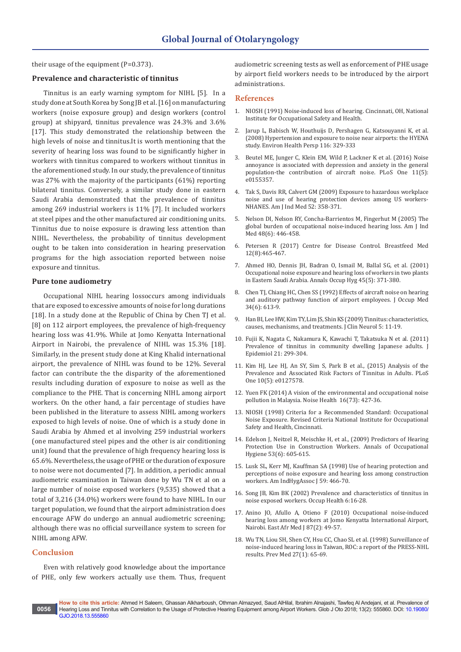their usage of the equipment (P=0.373).

# **Prevalence and characteristic of tinnitus**

Tinnitus is an early warning symptom for NIHL [5]. In a study done at South Korea by Song JB et al. [16] on manufacturing workers (noise exposure group) and design workers (control group) at shipyard, tinnitus prevalence was 24.3% and 3.6% [17]. This study demonstrated the relationship between the high levels of noise and tinnitus.It is worth mentioning that the severity of hearing loss was found to be significantly higher in workers with tinnitus compared to workers without tinnitus in the aforementioned study. In our study, the prevalence of tinnitus was 27% with the majority of the participants (61%) reporting bilateral tinnitus. Conversely, a similar study done in eastern Saudi Arabia demonstrated that the prevalence of tinnitus among 269 industrial workers is 11% [7]. It included workers at steel pipes and the other manufactured air conditioning units. Tinnitus due to noise exposure is drawing less attention than NIHL. Nevertheless, the probability of tinnitus development ought to be taken into consideration in hearing preservation programs for the high association reported between noise exposure and tinnitus.

#### **Pure tone audiometry**

Occupational NIHL hearing lossoccurs among individuals that are exposed to excessive amounts of noise for long durations [18]. In a study done at the Republic of China by Chen TJ et al. [8] on 112 airport employees, the prevalence of high-frequency hearing loss was 41.9%. While at Jomo Kenyatta International Airport in Nairobi, the prevalence of NIHL was 15.3% [18]. Similarly, in the present study done at King Khalid international airport, the prevalence of NIHL was found to be 12%. Several factor can contribute the the disparity of the aforementioned results including duration of exposure to noise as well as the compliance to the PHE. That is concerning NIHL among airport workers. On the other hand, a fair percentage of studies have been published in the literature to assess NIHL among workers exposed to high levels of noise. One of which is a study done in Saudi Arabia by Ahmed et al involving 259 industrial workers (one manufactured steel pipes and the other is air conditioning unit) found that the prevalence of high frequency hearing loss is 65.6%. Nevertheless, the usage of PHE or the duration of exposure to noise were not documented [7]. In addition, a periodic annual audiometric examination in Taiwan done by Wu TN et al on a large number of noise exposed workers (9,535) showed that a total of 3,216 (34.0%) workers were found to have NIHL. In our target population, we found that the airport administration does encourage AFW do undergo an annual audiometric screening; although there was no official surveillance system to screen for NIHL among AFW.

#### **Conclusion**

Even with relatively good knowledge about the importance of PHE, only few workers actually use them. Thus, frequent audiometric screening tests as well as enforcement of PHE usage by airport field workers needs to be introduced by the airport administrations.

#### **References**

- 1. NIOSH (1991) Noise-induced loss of hearing. Cincinnati, OH, National Institute for Occupational Safety and Health.
- 2. [Jarup L, Babisch W, Houthuijs D, Pershagen G, Katsouyanni K, et al.](https://www.ncbi.nlm.nih.gov/pmc/articles/PMC2265027/)  [\(2008\) Hypertension and exposure to noise near airports: the HYENA](https://www.ncbi.nlm.nih.gov/pmc/articles/PMC2265027/)  [study. Environ Health Persp 116: 329-333](https://www.ncbi.nlm.nih.gov/pmc/articles/PMC2265027/)
- 3. [Beutel ME, Junger C, Klein EM, Wild P, Lackner K et al. \(2016\) Noise](https://www.ncbi.nlm.nih.gov/pubmed/27195894)  [annoyance is associated with depression and anxiety in the general](https://www.ncbi.nlm.nih.gov/pubmed/27195894)  [population-the contribution of aircraft noise. PLoS One 11\(5\):](https://www.ncbi.nlm.nih.gov/pubmed/27195894)  [e0155357.](https://www.ncbi.nlm.nih.gov/pubmed/27195894)
- 4. [Tak S, Davis RR, Calvert GM \(2009\) Exposure to hazardous workplace](https://www.ncbi.nlm.nih.gov/pubmed/19267354)  [noise and use of hearing protection devices among US workers-](https://www.ncbi.nlm.nih.gov/pubmed/19267354)[NHANES. Am J Ind Med 52: 358-371.](https://www.ncbi.nlm.nih.gov/pubmed/19267354)
- 5. [Nelson DI, Nelson RY, Concha-Barrientos M, Fingerhut M \(2005\) The](https://www.ncbi.nlm.nih.gov/pubmed/16299704)  [global burden of occupational noise-induced hearing loss. Am J Ind](https://www.ncbi.nlm.nih.gov/pubmed/16299704)  [Med 48\(6\): 446-458.](https://www.ncbi.nlm.nih.gov/pubmed/16299704)
- 6. [Petersen R \(2017\) Centre for Disease Control. Breastfeed Med](https://www.ncbi.nlm.nih.gov/pubmed/288173086-%20petersen%20R%20(2017)%20Centre%20for%20Disease%20Control.%20Breastfeed%20Med%2012(8):465-467%20Available%20from%20http:/www.cdc.gov/niosh/topics/noise/stats.html)  [12\(8\):465-467.](https://www.ncbi.nlm.nih.gov/pubmed/288173086-%20petersen%20R%20(2017)%20Centre%20for%20Disease%20Control.%20Breastfeed%20Med%2012(8):465-467%20Available%20from%20http:/www.cdc.gov/niosh/topics/noise/stats.html)
- 7. [Ahmed HO, Dennis JH, Badran O, Ismail M, Ballal SG, et al. \(2001\)](https://www.ncbi.nlm.nih.gov/pubmed/11418087)  [Occupational noise exposure and hearing loss of workers in two plants](https://www.ncbi.nlm.nih.gov/pubmed/11418087)  [in Eastern Saudi Arabia. Annals Occup Hyg 45\(5\): 371-380](https://www.ncbi.nlm.nih.gov/pubmed/11418087).
- 8. [Chen TJ, Chiang HC, Chen SS \(1992\) Effects of aircraft noise on hearing](https://www.ncbi.nlm.nih.gov/pubmed/1619492)  [and auditory pathway function of airport employees. J Occup Med](https://www.ncbi.nlm.nih.gov/pubmed/1619492)  [34\(6\): 613-9.](https://www.ncbi.nlm.nih.gov/pubmed/1619492)
- 9. [Han BI, Lee HW, Kim TY, Lim JS, Shin KS \(2009\) Tinnitus: characteristics,](https://www.ncbi.nlm.nih.gov/pmc/articles/PMC2686891/)  [causes, mechanisms, and treatments. J Clin Neurol 5: 11-19.](https://www.ncbi.nlm.nih.gov/pmc/articles/PMC2686891/)
- 10. [Fujii K, Nagata C, Nakamura K, Kawachi T, Takatsuka N et al. \(2011\)](https://www.ncbi.nlm.nih.gov/pubmed/21646745)  Prevalence of tinnitus in community dwelling Japanese adults. J [Epidemiol 21: 299-304.](https://www.ncbi.nlm.nih.gov/pubmed/21646745)
- 11. [Kim HJ, Lee HJ, An SY, Sim S, Park B et al., \(2015\) Analysis of the](https://www.ncbi.nlm.nih.gov/pubmed/26020239)  [Prevalence and Associated Risk Factors of Tinnitus in Adults. PLoS](https://www.ncbi.nlm.nih.gov/pubmed/26020239)  [One 10\(5\): e0127578.](https://www.ncbi.nlm.nih.gov/pubmed/26020239)
- 12. [Yuen FK \(2014\) A vision of the environmental and occupational noise](https://www.ncbi.nlm.nih.gov/pubmed/25387540)  [pollution in Malaysia. Noise Health 16\(73\): 427-36.](https://www.ncbi.nlm.nih.gov/pubmed/25387540)
- 13. [NIOSH \(1998\) Criteria for a Recommended Standard: Occupational](https://www.researchgate.net/publication/241197604_NIOSH_Criteria_for_a_Recommended_Standard_Occupational_Noise_Exposure_Revised_Criteria_1998)  [Noise Exposure. Revised Criteria National Institute for Occupational](https://www.researchgate.net/publication/241197604_NIOSH_Criteria_for_a_Recommended_Standard_Occupational_Noise_Exposure_Revised_Criteria_1998)  [Safety and Health, Cincinnati.](https://www.researchgate.net/publication/241197604_NIOSH_Criteria_for_a_Recommended_Standard_Occupational_Noise_Exposure_Revised_Criteria_1998)
- 14. [Edelson J, Neitzel R, Meischke H, et al., \(2009\) Predictors of Hearing](https://academic.oup.com/annweh/article/53/6/605/175496)  [Protection Use in Construction Workers. Annals of Occupational](https://academic.oup.com/annweh/article/53/6/605/175496)  [Hygiene 53\(6\): 605-615.](https://academic.oup.com/annweh/article/53/6/605/175496)
- 15. [Lusk SL, Kerr MJ, Kauffman SA \(1998\) Use of hearing protection and](https://experts.umn.edu/en/publications/use-of-hearing-protection-and-perceptions-of-noise-exposure-and-h)  [perceptions of noise exposure and hearing loss among construction](https://experts.umn.edu/en/publications/use-of-hearing-protection-and-perceptions-of-noise-exposure-and-h)  [workers. Am IndHygAssoc J 59: 466-70.](https://experts.umn.edu/en/publications/use-of-hearing-protection-and-perceptions-of-noise-exposure-and-h)
- 16. Song JB, Kim BK (2002) Prevalence and characteristics of tinnitus in noise exposed workers. Occup Health 6:16-28.
- 17. [Anino JO, Afullo A, Otieno F \(2010\) Occupational noise-induced](https://www.ncbi.nlm.nih.gov/pubmed/23057256)  [hearing loss among workers at Jomo Kenyatta International Airport,](https://www.ncbi.nlm.nih.gov/pubmed/23057256)  [Nairobi. East Afr Med J 87\(2\): 49-57.](https://www.ncbi.nlm.nih.gov/pubmed/23057256)
- 18. [Wu TN, Liou SH, Shen CY, Hsu CC, Chao SL et al. \(1998\) Surveillance of](https://www.ncbi.nlm.nih.gov/pubmed/9465355)  [noise-induced hearing loss in Taiwan, ROC: a report of the PRESS-NHL](https://www.ncbi.nlm.nih.gov/pubmed/9465355)  [results. Prev Med 27\(1\): 65-69.](https://www.ncbi.nlm.nih.gov/pubmed/9465355)